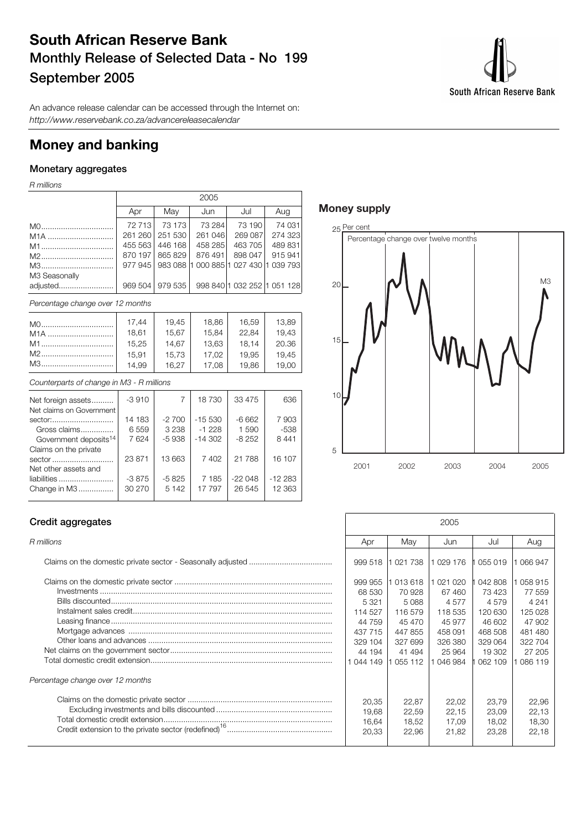# **South African Reserve Bank Monthly Release of Selected Data - No 199 September 2005**

An advance release calendar can be accessed through the Internet on: http://www.reservebank.co.za/advancereleasecalendar

## **Money and banking**

## **Monetary aggregates**

R millions

|               | 2005    |         |         |         |                                               |  |  |  |  |
|---------------|---------|---------|---------|---------|-----------------------------------------------|--|--|--|--|
|               | Apr     | May     | Jun     | Jul     | Aug                                           |  |  |  |  |
| M0            | 72 713  | 73 173  | 73 284  | 73 190  | 74 031                                        |  |  |  |  |
| M1A           | 261 260 | 251 530 | 261 046 | 269 087 | 274 323                                       |  |  |  |  |
| M1            | 455 563 | 446 168 | 458 285 | 463 705 | 489 831                                       |  |  |  |  |
|               | 870 197 | 865 829 | 876 491 | 898 047 | 915 941                                       |  |  |  |  |
| M3            |         |         |         |         | 977 945 983 088 1 000 885 1 027 430 1 039 793 |  |  |  |  |
| M3 Seasonally |         |         |         |         |                                               |  |  |  |  |
| adjusted      | 969 504 | 979 535 |         |         | 998 840 1 032 252 1 051 128                   |  |  |  |  |

Percentage change over 12 months

|                        | 17.44 | 19.45 | 18.86 | 16.59 | 13.89 |
|------------------------|-------|-------|-------|-------|-------|
|                        | 18.61 | 15.67 | 15.84 | 22.84 | 19.43 |
| M <sub>1</sub> A<br>M1 | 15,25 | 14.67 | 13,63 | 18.14 | 20.36 |
|                        | 15,91 | 15,73 | 17.02 | 19.95 | 19.45 |
|                        | 14.99 | 16.27 | 17.08 | 19,86 | 19,00 |

Counterparts of change in M3 - R millions

| Net foreign assets                | $-3910$ |         | 18730     | 33 475   | 636      |
|-----------------------------------|---------|---------|-----------|----------|----------|
| Net claims on Government          |         |         |           |          |          |
| sector:                           | 14 183  | $-2700$ | $-15530$  | $-6662$  | 7 903    |
| Gross claims                      | 6559    | 3 2 3 8 | $-1228$   | 1 5 9 0  | $-538$   |
| Government deposits <sup>14</sup> | 7624    | $-5938$ | $-14.302$ | $-8252$  | 8 4 4 1  |
| Claims on the private             |         |         |           |          |          |
| sector                            | 23871   | 13 663  | 7402      | 21 788   | 16 107   |
| Net other assets and              |         |         |           |          |          |
| liabilities                       | $-3875$ | $-5825$ | 7 185     | $-22048$ | $-12283$ |
| Change in M3                      | 30 270  | 5 1 4 2 | 17 797    | 26 545   | 12 3 63  |
|                                   |         |         |           |          |          |

## **Money supply**



### **Credit aggregates**

| Credit aggregates                | 2005                                                                               |                                                                                                       |                                                                                             |                                                                                           |                                                                                              |
|----------------------------------|------------------------------------------------------------------------------------|-------------------------------------------------------------------------------------------------------|---------------------------------------------------------------------------------------------|-------------------------------------------------------------------------------------------|----------------------------------------------------------------------------------------------|
| R millions                       | Apr                                                                                | May                                                                                                   | Jun                                                                                         | Jul                                                                                       | Aug                                                                                          |
|                                  |                                                                                    | 999 518 1 021 738                                                                                     | 1 029 176                                                                                   | 055 019                                                                                   | 066947                                                                                       |
|                                  | 68 530<br>5 3 2 1<br>114 527<br>44 759<br>437 715<br>329 104<br>44 194<br>1044 149 | 999 955 1 013 618<br>70 928<br>5088<br>116 579<br>45 470<br>447 855<br>327 699<br>41 494<br>1 055 112 | 1 021 020<br>67 460<br>4577<br>118 535<br>45 977<br>458 091<br>326 380<br>25 964<br>046 984 | 042 808<br>73 423<br>4579<br>120 630<br>46 602<br>468 508<br>329 064<br>19 302<br>062 109 | 058 915<br>77 559<br>4 2 4 1<br>125 028<br>47 902<br>481 480<br>322 704<br>27 205<br>086 119 |
| Percentage change over 12 months |                                                                                    |                                                                                                       |                                                                                             |                                                                                           |                                                                                              |
|                                  | 20.35<br>19,68<br>16,64<br>20,33                                                   | 22,87<br>22,59<br>18,52<br>22,96                                                                      | 22,02<br>22,15<br>17,09<br>21,82                                                            | 23,79<br>23,09<br>18,02<br>23,28                                                          | 22,96<br>22,13<br>18,30<br>22,18                                                             |

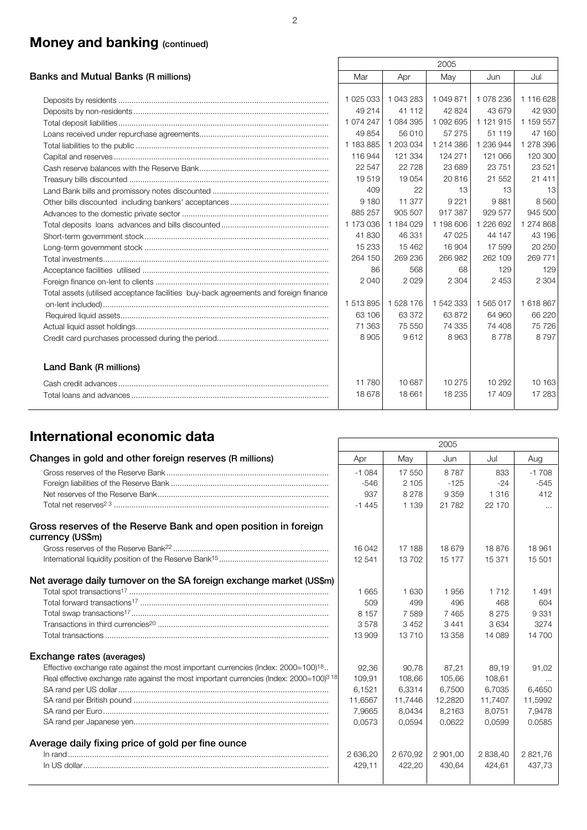# **Money and banking (continued)**

|                                                                                      |           |           | 2005      |               |           |
|--------------------------------------------------------------------------------------|-----------|-----------|-----------|---------------|-----------|
| Banks and Mutual Banks (R millions)                                                  | Mar       | Apr       | May       | Jun           | Jul       |
|                                                                                      |           |           |           |               |           |
|                                                                                      | 1 025 033 | 1 043 283 | 1 049 871 | 1 078 236     | 1 116 628 |
|                                                                                      | 49 214    | 41 112    | 42 824    | 43 679        | 42 930    |
|                                                                                      | 1074247   | 1 084 395 | 1 092 695 | 1 1 2 1 9 1 5 | 1 159 557 |
|                                                                                      | 49 854    | 56 010    | 57 275    | 51 119        | 47 160    |
|                                                                                      | 1 183 885 | 1 203 034 | 1 214 386 | 1 236 944     | 1 278 396 |
|                                                                                      | 116 944   | 121 334   | 124 271   | 121 066       | 120 300   |
|                                                                                      | 22 547    | 22728     | 23 689    | 23 751        | 23 5 21   |
|                                                                                      | 19519     | 19054     | 20816     | 21 552        | 21 411    |
|                                                                                      | 409       | 22        | 13        | 13            | 13        |
|                                                                                      | 9 1 8 0   | 11 377    | 9 2 2 1   | 9881          | 8 5 6 0   |
|                                                                                      | 885 257   | 905 507   | 917 387   | 929 577       | 945 500   |
|                                                                                      | 1 173 036 | 1 184 029 | 1 198 606 | 1 226 692     | 1 274 868 |
|                                                                                      | 41830     | 46 331    | 47 0 25   | 44 147        | 43 196    |
|                                                                                      | 15 233    | 15462     | 16 904    | 17 599        | 20 250    |
|                                                                                      | 264 150   | 269 236   | 266 982   | 262 109       | 269 771   |
|                                                                                      | 86        | 568       | 68        | 129           | 129       |
|                                                                                      | 2 0 4 0   | 2029      | 2 3 0 4   | 2 4 5 3       | 2 3 0 4   |
| Total assets (utilised acceptance facilities buy-back agreements and foreign finance |           |           |           |               |           |
|                                                                                      | 1513895   | 1 528 176 | 1 542 333 | 1 565 017     | 1618867   |
|                                                                                      | 63 106    | 63 372    | 63872     | 64 960        | 66 220    |
|                                                                                      | 71 363    | 75 550    | 74 335    | 74 408        | 75 726    |
|                                                                                      | 8905      | 9612      | 8963      | 8778          | 8797      |
|                                                                                      |           |           |           |               |           |
| Land Bank (R millions)                                                               |           |           |           |               |           |
|                                                                                      | 11 780    | 10687     | 10 275    | 10 29 2       | 10 163    |
|                                                                                      | 18678     | 18 661    | 18 2 35   | 17 409        | 17 283    |

# **International economic data** 2005

|                                                                                                      |          |         | ZUUJ.    |          |          |
|------------------------------------------------------------------------------------------------------|----------|---------|----------|----------|----------|
| Changes in gold and other foreign reserves (R millions)                                              | Apr      | May     | Jun      | Jul      | Aug      |
|                                                                                                      | $-1084$  | 17 550  | 8787     | 833      | $-1708$  |
|                                                                                                      | $-546$   | 2 1 0 5 | $-125$   | $-24$    | $-545$   |
|                                                                                                      | 937      | 8 2 7 8 | 9 3 5 9  | 1 316    | 412      |
|                                                                                                      | $-1445$  | 1 1 3 9 | 21 7 8 2 | 22 170   | $\cdots$ |
| Gross reserves of the Reserve Bank and open position in foreign<br>currency (US\$m)                  |          |         |          |          |          |
|                                                                                                      | 16 042   | 17 188  | 18 679   | 18876    | 18 961   |
|                                                                                                      | 12 541   | 13702   | 15 177   | 15 371   | 15 501   |
| Net average daily turnover on the SA foreign exchange market (US\$m)                                 |          |         |          |          |          |
|                                                                                                      | 1665     | 1 630   | 1956     | 1 7 1 2  | 1491     |
|                                                                                                      | 509      | 499     | 496      | 468      | 604      |
|                                                                                                      | 8 1 5 7  | 7589    | 7465     | 8 2 7 5  | 9331     |
|                                                                                                      | 3578     | 3452    | 3 4 4 1  | 3634     | 3274     |
|                                                                                                      | 13 909   | 13710   | 13 358   | 14 089   | 14 700   |
| Exchange rates (averages)                                                                            |          |         |          |          |          |
| Effective exchange rate against the most important currencies (Index: $2000=100$ ) <sup>18</sup>     | 92,36    | 90,78   | 87.21    | 89.19    | 91,02    |
| Real effective exchange rate against the most important currencies (Index: 2000=100) <sup>3</sup> 18 | 109,91   | 108,66  | 105,66   | 108,61   | $\cdots$ |
|                                                                                                      | 6,1521   | 6,3314  | 6,7500   | 6,7035   | 6,4650   |
|                                                                                                      | 11,6567  | 11,7446 | 12,2820  | 11,7407  | 11,5992  |
|                                                                                                      | 7,9665   | 8,0434  | 8,2163   | 8,0751   | 7,9478   |
|                                                                                                      | 0,0573   | 0.0594  | 0.0622   | 0.0599   | 0.0585   |
| Average daily fixing price of gold per fine ounce                                                    |          |         |          |          |          |
|                                                                                                      | 2 636,20 | 2670.92 | 2 901.00 | 2 838,40 | 2821.76  |
|                                                                                                      | 429,11   | 422,20  | 430,64   | 424,61   | 437,73   |
|                                                                                                      |          |         |          |          |          |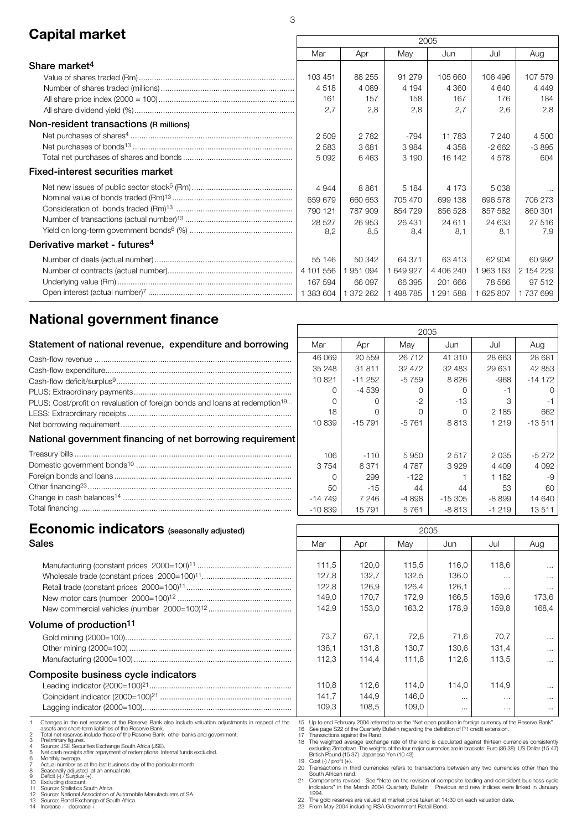# **Capital market** 2005

|                                          | $\sim$    |         |           |           |           |           |
|------------------------------------------|-----------|---------|-----------|-----------|-----------|-----------|
|                                          | Mar       | Apr     | May       | Jun       | Jul       | Aug       |
| Share market <sup>4</sup>                |           |         |           |           |           |           |
|                                          | 103 451   | 88 255  | 91 279    | 105 660   | 106 496   | 107 579   |
|                                          | 4518      | 4 089   | 4 1 9 4   | 4 3 6 0   | 4 640     | 4 4 4 9   |
|                                          | 161       | 157     | 158       | 167       | 176       | 184       |
|                                          | 2,7       | 2,8     | 2,8       | 2.7       | 2,6       | 2,8       |
| Non-resident transactions (R millions)   |           |         |           |           |           |           |
|                                          | 2 5 0 9   | 2 7 8 2 | $-794$    | 11 783    | 7 2 4 0   | 4 500     |
|                                          | 2 5 8 3   | 3681    | 3984      | 4 3 5 8   | $-2662$   | $-3895$   |
|                                          | 5 0 9 2   | 6463    | 3 1 9 0   | 16 142    | 4578      | 604       |
| Fixed-interest securities market         |           |         |           |           |           |           |
|                                          | 4 9 4 4   | 8861    | 5 1 8 4   | 4 1 7 3   | 5038      |           |
|                                          | 659 679   | 660 653 | 705 470   | 699 138   | 696 578   | 706 273   |
|                                          | 790 121   | 787 909 | 854 729   | 856 528   | 857 582   | 860 301   |
|                                          | 28 5 27   | 26 953  | 26 431    | 24 611    | 24 633    | 27 516    |
|                                          | 8,2       | 8,5     | 8.4       | 8.1       | 8.1       | 7,9       |
| Derivative market - futures <sup>4</sup> |           |         |           |           |           |           |
|                                          | 55 146    | 50 342  | 64 371    | 63 413    | 62 904    | 60 992    |
|                                          | 4 101 556 | 951 094 | 1 649 927 | 4 406 240 | 1963163   | 2 154 229 |
|                                          | 167 594   | 66 097  | 66 395    | 201 666   | 78 566    | 97 512    |
|                                          | 1 383 604 | 372 262 | 498 785   | 1 291 588 | 1 625 807 | 1737699   |

# **National government finance**

|                                                                                         | 2005     |          |         |           |         |          |
|-----------------------------------------------------------------------------------------|----------|----------|---------|-----------|---------|----------|
| Statement of national revenue, expenditure and borrowing                                | Mar      | Apr      | May     | Jun       | Jul     | Aug      |
|                                                                                         | 46 069   | 20 559   | 26 712  | 41 310    | 28 663  | 28 681   |
|                                                                                         | 35 248   | 31 811   | 32 472  | 32 483    | 29 631  | 42 853   |
|                                                                                         | 10821    | $-11252$ | -5759   | 8826      | $-968$  | $-14172$ |
|                                                                                         |          | $-4539$  |         |           |         |          |
| PLUS: Cost/profit on revaluation of foreign bonds and loans at redemption <sup>19</sup> |          |          |         | -13       |         |          |
|                                                                                         | 18       |          |         |           | 2 185   | 662      |
|                                                                                         | 10839    | $-15791$ | $-5761$ | 8813      | 1 2 1 9 | $-13511$ |
| National government financing of net borrowing requirement                              |          |          |         |           |         |          |
|                                                                                         | 106      | $-110$   | 5950    | 2517      | 2 0 3 5 | $-5272$  |
|                                                                                         | 3 7 5 4  | 8 3 7 1  | 4 7 8 7 | 3929      | 4 4 0 9 | 4 0 9 2  |
|                                                                                         |          | 299      | $-122$  |           | 1 182   |          |
|                                                                                         | 50       | $-15$    | 44      | 44        | 53      | 60       |
|                                                                                         | $-14749$ | 7 2 4 6  | $-4898$ | $-15.305$ | $-8899$ | 14 640   |
|                                                                                         | $-10839$ | 15791    | 5761    | $-8.813$  | $-1219$ | 13511    |

 $\Gamma$ 

| <b>Economic indicators</b> (seasonally adjusted)                                                                                                                                                                                                                                                                                                                                                                                                                                                                                                                                                                                                                                                                                                                                                                                   | 2005                                                                                                                                                                                                                                                                                                              |                                                   |                                                                                                                                                                                                                                                                                                                                                                                                                                                                                                                                                                                                                                                                                           |                                                         |                                                 |                                                                      |  |
|------------------------------------------------------------------------------------------------------------------------------------------------------------------------------------------------------------------------------------------------------------------------------------------------------------------------------------------------------------------------------------------------------------------------------------------------------------------------------------------------------------------------------------------------------------------------------------------------------------------------------------------------------------------------------------------------------------------------------------------------------------------------------------------------------------------------------------|-------------------------------------------------------------------------------------------------------------------------------------------------------------------------------------------------------------------------------------------------------------------------------------------------------------------|---------------------------------------------------|-------------------------------------------------------------------------------------------------------------------------------------------------------------------------------------------------------------------------------------------------------------------------------------------------------------------------------------------------------------------------------------------------------------------------------------------------------------------------------------------------------------------------------------------------------------------------------------------------------------------------------------------------------------------------------------------|---------------------------------------------------------|-------------------------------------------------|----------------------------------------------------------------------|--|
| <b>Sales</b>                                                                                                                                                                                                                                                                                                                                                                                                                                                                                                                                                                                                                                                                                                                                                                                                                       | Mar                                                                                                                                                                                                                                                                                                               | Apr                                               | May                                                                                                                                                                                                                                                                                                                                                                                                                                                                                                                                                                                                                                                                                       | Jun                                                     | Jul                                             | Aug                                                                  |  |
|                                                                                                                                                                                                                                                                                                                                                                                                                                                                                                                                                                                                                                                                                                                                                                                                                                    | 111.5<br>127,8<br>122,8<br>149,0<br>142.9                                                                                                                                                                                                                                                                         | 120,0<br>132,7<br>126,9<br>170,7<br>153,0         | 115.5<br>132,5<br>126,4<br>172,9<br>163.2                                                                                                                                                                                                                                                                                                                                                                                                                                                                                                                                                                                                                                                 | 116.0<br>136.0<br>126,1<br>166,5<br>178.9               | 118.6<br>$\cdots$<br>$\cdots$<br>159.6<br>159.8 | $\cdots$<br>$\cdots$<br>$\cdots$<br>173.6<br>168,4                   |  |
|                                                                                                                                                                                                                                                                                                                                                                                                                                                                                                                                                                                                                                                                                                                                                                                                                                    |                                                                                                                                                                                                                                                                                                                   |                                                   |                                                                                                                                                                                                                                                                                                                                                                                                                                                                                                                                                                                                                                                                                           |                                                         |                                                 |                                                                      |  |
| Volume of production <sup>11</sup><br>Composite business cycle indicators                                                                                                                                                                                                                                                                                                                                                                                                                                                                                                                                                                                                                                                                                                                                                          | 73.7<br>136,1<br>112,3<br>110.8<br>141,7<br>109,3                                                                                                                                                                                                                                                                 | 67.1<br>131,8<br>114,4<br>112.6<br>144.9<br>108,5 | 72.8<br>130,7<br>111,8<br>114.0<br>146.0<br>109,0                                                                                                                                                                                                                                                                                                                                                                                                                                                                                                                                                                                                                                         | 71.6<br>130,6<br>112,6<br>114.0<br>$\cdots$<br>$\cdots$ | 70.7<br>131,4<br>113.5<br>114.9<br>$\cdots$     | $\cdots$<br>$\cdots$<br>$\cdots$<br>$\cdots$<br>$\cdots$<br>$\cdots$ |  |
| Changes in the net reserves of the Reserve Bank also include valuation adjustments in respect of the<br>assets and short-term liabilities of the Reserve Bank.<br>Total net reserves include those of the Reserve Bank other banks and government.<br>$\overline{2}$<br>3<br>Preliminary figures.<br>Source: JSE Securities Exchange South Africa (JSE).<br>Net cash receipts after repayment of redemptions Internal funds excluded.<br>6<br>Monthly average.<br>Actual number as at the last business day of the particular month.<br>8<br>Seasonally adjusted at an annual rate.<br>Deficit (-) / Surplus (+).<br>10 Excluding discount.<br>11 Source: Statistics South Africa.<br>12 Source: National Association of Automobile Manufacturers of SA.<br>13 Source: Bond Exchange of South Africa.<br>14 Increase - decrease +. | 15<br>17 Transactions against the Rand.<br>19 Cost (-) / profit (+).<br>20 Transactions in third currencies refers to transactions between any two currencies other than the<br>South African rand.<br>21 Components revised See "Note on the revision of composite leading and coincident business cycle<br>1994 | British Pound (15 37) Japanese Yen (10 43).       | Up to end February 2004 referred to as the "Net open position in foreign currency of the Reserve Bank".<br>16 See page S22 of the Quarterly Bulletin regarding the definition of P1 credit extension.<br>18 The weighted average exchange rate of the rand is calculated against thirteen currencies consistently<br>excluding Zimbabwe The weights of the four major currencies are in brackets: Euro (36 38) US Dollar (15 47)<br>indicators" in the March 2004 Quarterly Bulletin  Previous and new indices were linked in January<br>22 The gold reserves are valued at market price taken at 14:30 on each valuation date.<br>23 From May 2004 including RSA Government Retail Bond. |                                                         |                                                 |                                                                      |  |

3